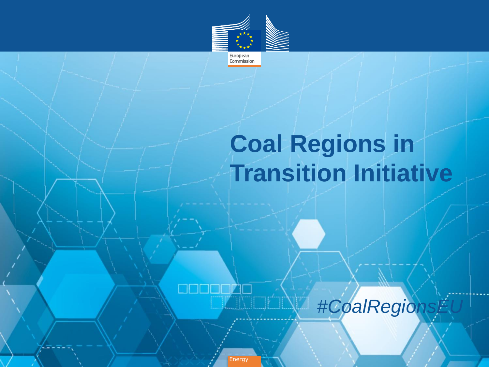

# **Coal Regions in Transition Initiative**



**Energy**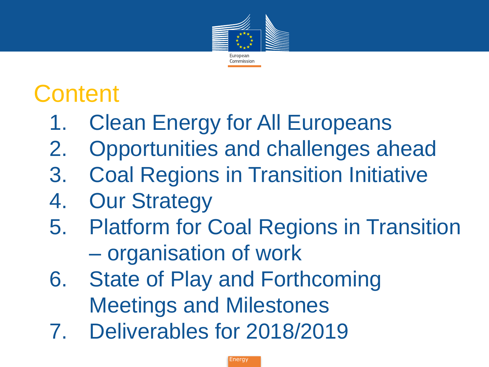

### **Content**

- 1. Clean Energy for All Europeans
- 2. Opportunities and challenges ahead
- 3. Coal Regions in Transition Initiative
- 4. Our Strategy
- 5. Platform for Coal Regions in Transition – organisation of work
- 6. State of Play and Forthcoming Meetings and Milestones
- 7. Deliverables for 2018/2019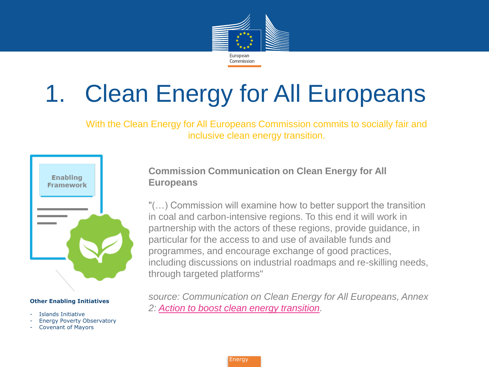

# 1. Clean Energy for All Europeans

With the Clean Energy for All Europeans Commission commits to socially fair and inclusive clean energy transition.



#### **Other Enabling Initiatives**

- Islands Initiative
- Energy Poverty Observatory
- Covenant of Mayors

**Commission Communication on Clean Energy for All Europeans**

"(…) Commission will examine how to better support the transition in coal and carbon-intensive regions. To this end it will work in partnership with the actors of these regions, provide guidance, in particular for the access to and use of available funds and programmes, and encourage exchange of good practices, including discussions on industrial roadmaps and re-skilling needs, through targeted platforms"

*source: Communication on Clean Energy for All Europeans, Annex 2: [Action to boost clean energy transition.](Action to boost the clean energy transition)*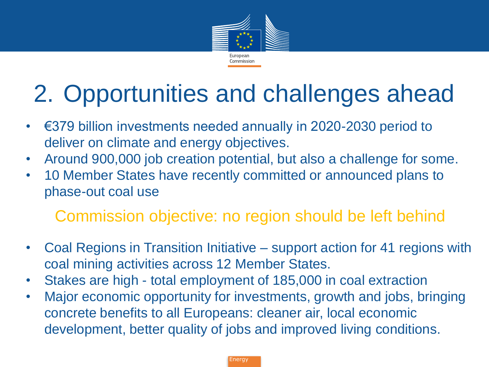

# 2. Opportunities and challenges ahead

- €379 billion investments needed annually in 2020-2030 period to deliver on climate and energy objectives.
- Around 900,000 job creation potential, but also a challenge for some.
- 10 Member States have recently committed or announced plans to phase-out coal use

### Commission objective: no region should be left behind

- Coal Regions in Transition Initiative support action for 41 regions with coal mining activities across 12 Member States.
- Stakes are high total employment of 185,000 in coal extraction
- Major economic opportunity for investments, growth and jobs, bringing concrete benefits to all Europeans: cleaner air, local economic development, better quality of jobs and improved living conditions.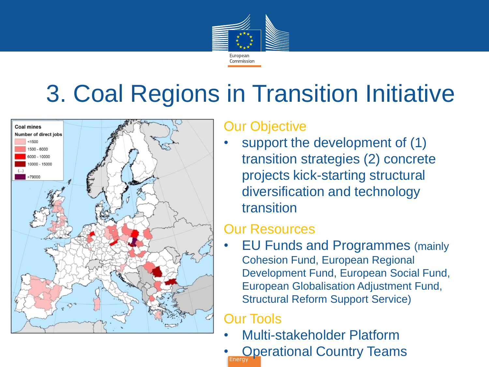

### 3. Coal Regions in Transition Initiative



#### Our Objective

support the development of (1) transition strategies (2) concrete projects kick-starting structural diversification and technology transition

#### Our Resources

• EU Funds and Programmes (mainly Cohesion Fund, European Regional Development Fund, European Social Fund, European Globalisation Adjustment Fund, Structural Reform Support Service)

### Our Tools

- Multi-stakeholder Platform
- **Energy Operational Country Teams**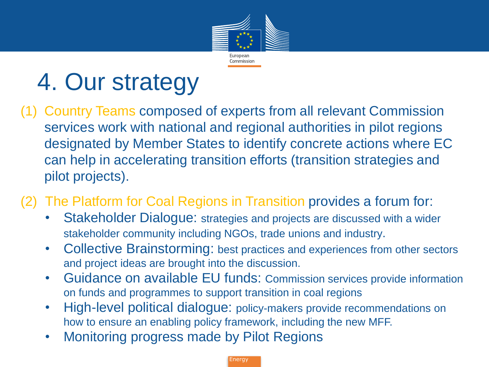

### 4. Our strategy

(1) Country Teams composed of experts from all relevant Commission services work with national and regional authorities in pilot regions designated by Member States to identify concrete actions where EC can help in accelerating transition efforts (transition strategies and pilot projects).

(2) The Platform for Coal Regions in Transition provides a forum for:

- Stakeholder Dialogue: strategies and projects are discussed with a wider stakeholder community including NGOs, trade unions and industry.
- Collective Brainstorming: best practices and experiences from other sectors and project ideas are brought into the discussion.
- Guidance on available EU funds: Commission services provide information on funds and programmes to support transition in coal regions
- High-level political dialogue: policy-makers provide recommendations on how to ensure an enabling policy framework, including the new MFF.
- Monitoring progress made by Pilot Regions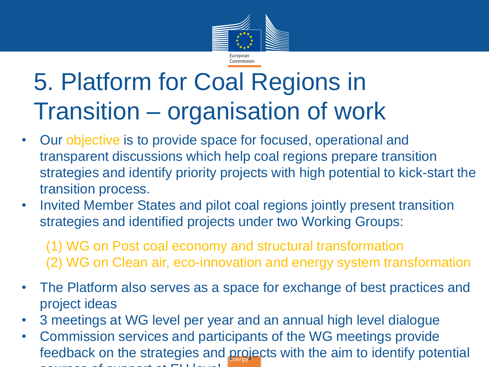

### 5. Platform for Coal Regions in Transition – organisation of work

- Our objective is to provide space for focused, operational and transparent discussions which help coal regions prepare transition strategies and identify priority projects with high potential to kick-start the transition process.
- Invited Member States and pilot coal regions jointly present transition strategies and identified projects under two Working Groups:

(1) WG on Post coal economy and structural transformation (2) WG on Clean air, eco-innovation and energy system transformation

- The Platform also serves as a space for exchange of best practices and project ideas
- 3 meetings at WG level per year and an annual high level dialogue
- feedback on the strategies and projects with the aim to identify potential • Commission services and participants of the WG meetings provide sources of support at EU level.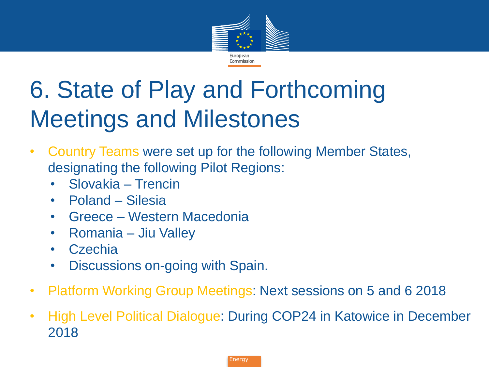

# 6. State of Play and Forthcoming Meetings and Milestones

- Country Teams were set up for the following Member States, designating the following Pilot Regions:
	- Slovakia Trencin
	- Poland Silesia
	- Greece Western Macedonia
	- Romania Jiu Valley
	- Czechia
	- Discussions on-going with Spain.
- Platform Working Group Meetings: Next sessions on 5 and 6 2018
- High Level Political Dialogue: During COP24 in Katowice in December 2018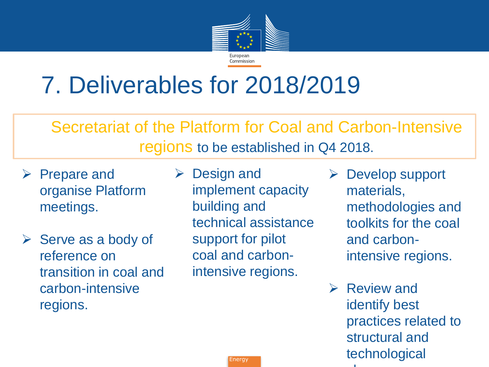

### 7. Deliverables for 2018/2019

Secretariat of the Platform for Coal and Carbon-Intensive regions to be established in Q4 2018.

- $\triangleright$  Prepare and organise Platform meetings.
- $\triangleright$  Serve as a body of reference on transition in coal and carbon-intensive regions.
- $\triangleright$  Design and implement capacity building and technical assistance support for pilot coal and carbonintensive regions.
- Develop support materials, methodologies and toolkits for the coal and carbonintensive regions.
- $\triangleright$  Review and identify best practices related to structural and technological